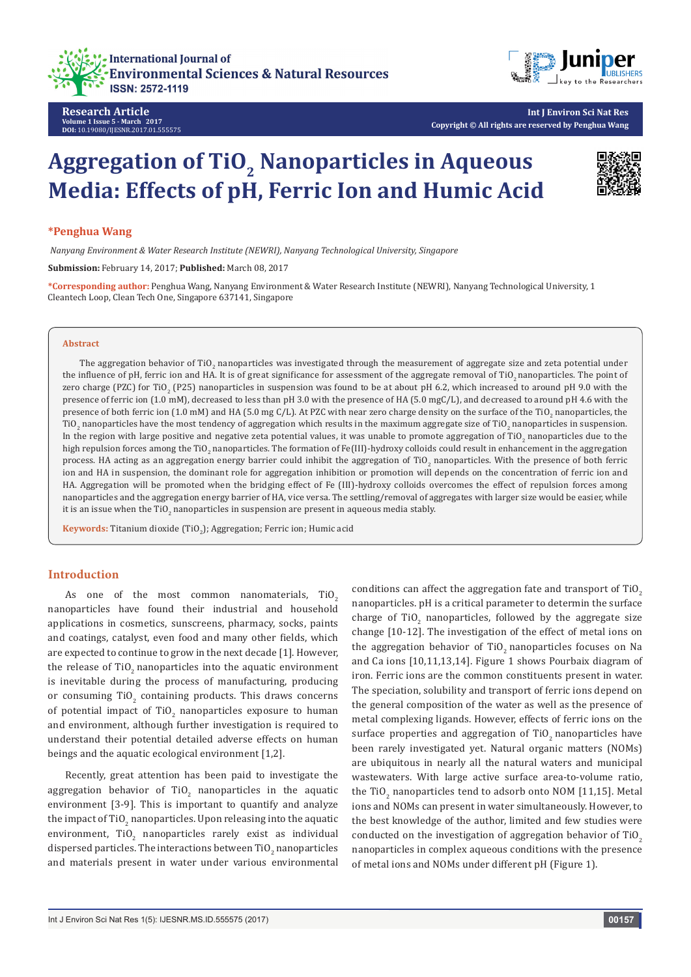



**Research Article Volume 1 Issue 5 - March 2017 DOI:** [10.19080/IJESNR.2017.01.555575](http://dx.doi.org/10.19080/IJESNR.2017.01.555575
)

# **Aggregation of TiO<sub>2</sub> Nanoparticles in Aqueous Media: Effects of pH, Ferric Ion and Humic Acid**



## **\*Penghua Wang**

 *Nanyang Environment & Water Research Institute (NEWRI), Nanyang Technological University, Singapore*

**Submission:** February 14, 2017; **Published:** March 08, 2017

**\*Corresponding author:** Penghua Wang, Nanyang Environment & Water Research Institute (NEWRI), Nanyang Technological University, 1 Cleantech Loop, Clean Tech One, Singapore 637141, Singapore

#### **Abstract**

The aggregation behavior of TiO<sub>2</sub> nanoparticles was investigated through the measurement of aggregate size and zeta potential under the influence of pH, ferric ion and HA. It is of great significance for assessment of the aggregate removal of TiO, nanoparticles. The point of zero charge (PZC) for TiO<sub>2</sub> (P25) nanoparticles in suspension was found to be at about pH 6.2, which increased to around pH 9.0 with the presence of ferric ion (1.0 mM), decreased to less than pH 3.0 with the presence of HA (5.0 mgC/L), and decreased to around pH 4.6 with the presence of both ferric ion (1.0 mM) and HA (5.0 mg C/L). At PZC with near zero charge density on the surface of the TiO<sub>2</sub> nanoparticles, the TiO<sub>2</sub> nanoparticles have the most tendency of aggregation which results in the maximum aggregate size of TiO<sub>2</sub> nanoparticles in suspension. In the region with large positive and negative zeta potential values, it was unable to promote aggregation of TiO<sub>2</sub> nanoparticles due to the high repulsion forces among the TiO<sub>2</sub> nanoparticles. The formation of Fe(III)-hydroxy colloids could result in enhancement in the aggregation process. HA acting as an aggregation energy barrier could inhibit the aggregation of TiO<sub>2</sub> nanoparticles. With the presence of both ferric ion and HA in suspension, the dominant role for aggregation inhibition or promotion will depends on the concentration of ferric ion and HA. Aggregation will be promoted when the bridging effect of Fe (III)-hydroxy colloids overcomes the effect of repulsion forces among nanoparticles and the aggregation energy barrier of HA, vice versa. The settling/removal of aggregates with larger size would be easier, while it is an issue when the TiO $_2$  nanoparticles in suspension are present in aqueous media stably.

**Keywords:** Titanium dioxide (TiO2 ); Aggregation; Ferric ion; Humic acid

## **Introduction**

As one of the most common nanomaterials,  $TiO<sub>2</sub>$ nanoparticles have found their industrial and household applications in cosmetics, sunscreens, pharmacy, socks, paints and coatings, catalyst, even food and many other fields, which are expected to continue to grow in the next decade [1]. However, the release of TiO<sub>2</sub> nanoparticles into the aquatic environment is inevitable during the process of manufacturing, producing or consuming  $TiO<sub>2</sub>$  containing products. This draws concerns of potential impact of TiO<sub>2</sub> nanoparticles exposure to human and environment, although further investigation is required to understand their potential detailed adverse effects on human beings and the aquatic ecological environment [1,2].

Recently, great attention has been paid to investigate the aggregation behavior of  $TiO_2$  nanoparticles in the aquatic environment [3-9]. This is important to quantify and analyze the impact of TiO $_2$  nanoparticles. Upon releasing into the aquatic environment, Ti $0_{2}$  nanoparticles rarely exist as individual dispersed particles. The interactions between  $\mathrm{TiO}_2$  nanoparticles and materials present in water under various environmental

conditions can affect the aggregation fate and transport of TiO<sub>2</sub> nanoparticles. pH is a critical parameter to determin the surface charge of  $TiO_2$  nanoparticles, followed by the aggregate size change [10-12]. The investigation of the effect of metal ions on the aggregation behavior of TiO<sub>2</sub> nanoparticles focuses on Na and Ca ions [10,11,13,14]. Figure 1 shows Pourbaix diagram of iron. Ferric ions are the common constituents present in water. The speciation, solubility and transport of ferric ions depend on the general composition of the water as well as the presence of metal complexing ligands. However, effects of ferric ions on the surface properties and aggregation of  $TiO<sub>2</sub>$  nanoparticles have been rarely investigated yet. Natural organic matters (NOMs) are ubiquitous in nearly all the natural waters and municipal wastewaters. With large active surface area-to-volume ratio, the TiO<sub>2</sub> nanoparticles tend to adsorb onto NOM [11,15]. Metal ions and NOMs can present in water simultaneously. However, to the best knowledge of the author, limited and few studies were conducted on the investigation of aggregation behavior of TiO<sub>2</sub> nanoparticles in complex aqueous conditions with the presence of metal ions and NOMs under different pH (Figure 1).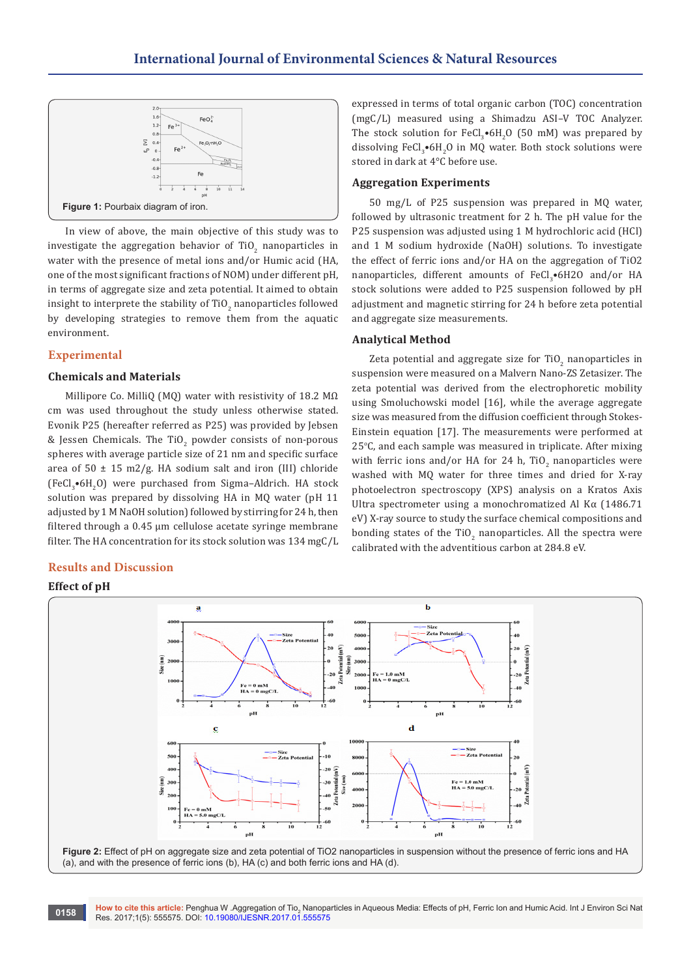

In view of above, the main objective of this study was to investigate the aggregation behavior of TiO<sub>2</sub> nanoparticles in water with the presence of metal ions and/or Humic acid (HA, one of the most significant fractions of NOM) under different pH, in terms of aggregate size and zeta potential. It aimed to obtain insight to interprete the stability of  $\mathrm{TiO}_2$  nanoparticles followed by developing strategies to remove them from the aquatic environment.

# **Experimental**

## **Chemicals and Materials**

Millipore Co. MilliQ (MQ) water with resistivity of 18.2 MΩ cm was used throughout the study unless otherwise stated. Evonik P25 (hereafter referred as P25) was provided by Jebsen & Jessen Chemicals. The TiO<sub>2</sub> powder consists of non-porous spheres with average particle size of 21 nm and specific surface area of  $50 \pm 15$  m2/g. HA sodium salt and iron (III) chloride  $(FeCl<sub>3</sub>•6H<sub>2</sub>O)$  were purchased from Sigma–Aldrich. HA stock solution was prepared by dissolving HA in MQ water (pH 11 adjusted by 1 M NaOH solution) followed by stirring for 24 h, then filtered through a 0.45 μm cellulose acetate syringe membrane filter. The HA concentration for its stock solution was 134 mgC/L

# **Results and Discussion**

## **Effect of pH**

 $\mathbf{h}$ a Siz Zeta Potentia **Leta Potential (mV)**  $(mn)$  $\frac{1}{2}$  $= 0$  mM ÷  $_{\rm p}$ <sub>E</sub>  $\mathbf d$  $\epsilon$ · Size<br>· Zeta Potenti <mark>-</mark> Size<br><mark>-</mark> Zeta Pot ∫m∖n otial (mV) lata Fe<br>HA  $= 5.0$  mgC/I

**Figure 2:** Effect of pH on aggregate size and zeta potential of TiO2 nanoparticles in suspension without the presence of ferric ions and HA (a), and with the presence of ferric ions (b), HA (c) and both ferric ions and HA (d).

expressed in terms of total organic carbon (TOC) concentration (mgC/L) measured using a Shimadzu ASI–V TOC Analyzer. The stock solution for  $\text{FeCl}_3\text{-}6\text{H}_2\text{O}$  (50 mM) was prepared by dissolving  $FeCl<sub>3</sub>•6H<sub>2</sub>O$  in MQ water. Both stock solutions were stored in dark at 4°C before use.

#### **Aggregation Experiments**

50 mg/L of P25 suspension was prepared in MQ water, followed by ultrasonic treatment for 2 h. The pH value for the P25 suspension was adjusted using 1 M hydrochloric acid (HCl) and 1 M sodium hydroxide (NaOH) solutions. To investigate the effect of ferric ions and/or HA on the aggregation of TiO2  $\texttt{nanoparticles},$  different amounts of FeCl<sub>3</sub> $\bullet$ 6H2O and/or HA stock solutions were added to P25 suspension followed by pH adjustment and magnetic stirring for 24 h before zeta potential and aggregate size measurements.

#### **Analytical Method**

Zeta potential and aggregate size for  $\text{TiO}_2$  nanoparticles in suspension were measured on a Malvern Nano-ZS Zetasizer. The zeta potential was derived from the electrophoretic mobility using Smoluchowski model [16], while the average aggregate size was measured from the diffusion coefficient through Stokes-Einstein equation [17]. The measurements were performed at 25°C, and each sample was measured in triplicate. After mixing with ferric ions and/or HA for 24 h,  $\text{TiO}_2$  nanoparticles were washed with MQ water for three times and dried for X-ray photoelectron spectroscopy (XPS) analysis on a Kratos Axis Ultra spectrometer using a monochromatized Al Kα (1486.71 eV) X-ray source to study the surface chemical compositions and bonding states of the  $TiO_2$  nanoparticles. All the spectra were calibrated with the adventitious carbon at 284.8 eV.

**How to cite this article:** Penghua W .Aggregation of Tio<sub>2</sub> Nanoparticles in Aqueous Media: Effects of pH, Ferric Ion and Humic Acid. Int J Environ Sci Nat **0158** Mow to cite this article: Penghua W .Aggregation of Tio<sub>2</sub> Nanopa<br>Res. 2017;1(5): 555575. DOI: [10.19080/IJESNR.2017.01.555575](http://dx.doi.org/10.19080/IJESNR.2017.01.555575
)

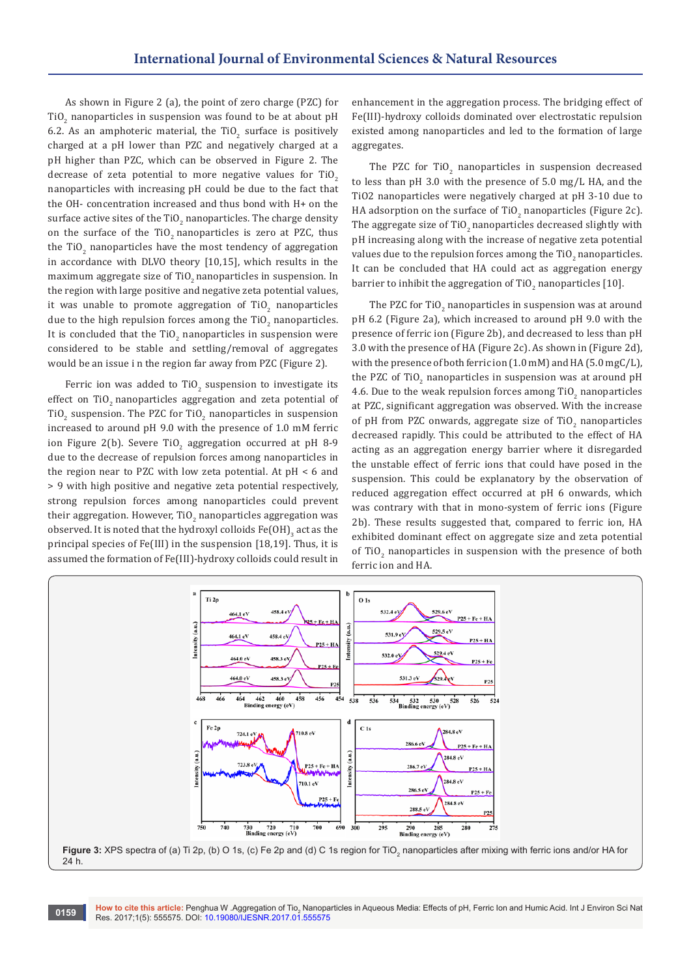As shown in Figure 2 (a), the point of zero charge (PZC) for TiO<sub>2</sub> nanoparticles in suspension was found to be at about pH 6.2. As an amphoteric material, the TiO<sub>2</sub> surface is positively charged at a pH lower than PZC and negatively charged at a pH higher than PZC, which can be observed in Figure 2. The decrease of zeta potential to more negative values for  $TiO<sub>2</sub>$ nanoparticles with increasing pH could be due to the fact that the OH- concentration increased and thus bond with H+ on the surface active sites of the TiO $_2$  nanoparticles. The charge density on the surface of the TiO<sub>2</sub> nanoparticles is zero at PZC, thus the TiO<sub>2</sub> nanoparticles have the most tendency of aggregation in accordance with DLVO theory [10,15], which results in the maximum aggregate size of TiO<sub>2</sub> nanoparticles in suspension. In the region with large positive and negative zeta potential values, it was unable to promote aggregation of  $\text{TiO}_2$  nanoparticles due to the high repulsion forces among the  $\mathrm{TiO}_2$  nanoparticles. It is concluded that the TiO $_2$  nanoparticles in suspension were considered to be stable and settling/removal of aggregates would be an issue i n the region far away from PZC (Figure 2).

Ferric ion was added to TiO<sub>2</sub> suspension to investigate its effect on TiO<sub>2</sub> nanoparticles aggregation and zeta potential of TiO<sub>2</sub> suspension. The PZC for TiO<sub>2</sub> nanoparticles in suspension increased to around pH 9.0 with the presence of 1.0 mM ferric ion Figure 2(b). Severe TiO<sub>2</sub> aggregation occurred at pH 8-9 due to the decrease of repulsion forces among nanoparticles in the region near to PZC with low zeta potential. At pH < 6 and > 9 with high positive and negative zeta potential respectively, strong repulsion forces among nanoparticles could prevent their aggregation. However, TiO $_2$  nanoparticles aggregation was observed. It is noted that the hydroxyl colloids  $\text{Fe}(\text{OH})_3^{}$  act as the principal species of Fe(III) in the suspension [18,19]. Thus, it is assumed the formation of Fe(III)-hydroxy colloids could result in

enhancement in the aggregation process. The bridging effect of Fe(III)-hydroxy colloids dominated over electrostatic repulsion existed among nanoparticles and led to the formation of large aggregates.

The PZC for  $T_2$  nanoparticles in suspension decreased to less than pH 3.0 with the presence of 5.0 mg/L HA, and the TiO2 nanoparticles were negatively charged at pH 3-10 due to HA adsorption on the surface of TiO<sub>2</sub> nanoparticles (Figure 2c). The aggregate size of TiO<sub>2</sub> nanoparticles decreased slightly with pH increasing along with the increase of negative zeta potential values due to the repulsion forces among the TiO $_2^{\,}$  nanoparticles. It can be concluded that HA could act as aggregation energy barrier to inhibit the aggregation of  $TiO_{2}$  nanoparticles [10].

The PZC for TiO $_2$  nanoparticles in suspension was at around pH 6.2 (Figure 2a), which increased to around pH 9.0 with the presence of ferric ion (Figure 2b), and decreased to less than pH 3.0 with the presence of HA (Figure 2c). As shown in (Figure 2d), with the presence of both ferric ion (1.0 mM) and HA (5.0 mgC/L), the PZC of TiO<sub>2</sub> nanoparticles in suspension was at around pH 4.6. Due to the weak repulsion forces among TiO<sub>2</sub> nanoparticles at PZC, significant aggregation was observed. With the increase of pH from PZC onwards, aggregate size of  $TiO_2$  nanoparticles decreased rapidly. This could be attributed to the effect of HA acting as an aggregation energy barrier where it disregarded the unstable effect of ferric ions that could have posed in the suspension. This could be explanatory by the observation of reduced aggregation effect occurred at pH 6 onwards, which was contrary with that in mono-system of ferric ions (Figure 2b). These results suggested that, compared to ferric ion, HA exhibited dominant effect on aggregate size and zeta potential of TiO<sub>2</sub> nanoparticles in suspension with the presence of both ferric ion and HA.

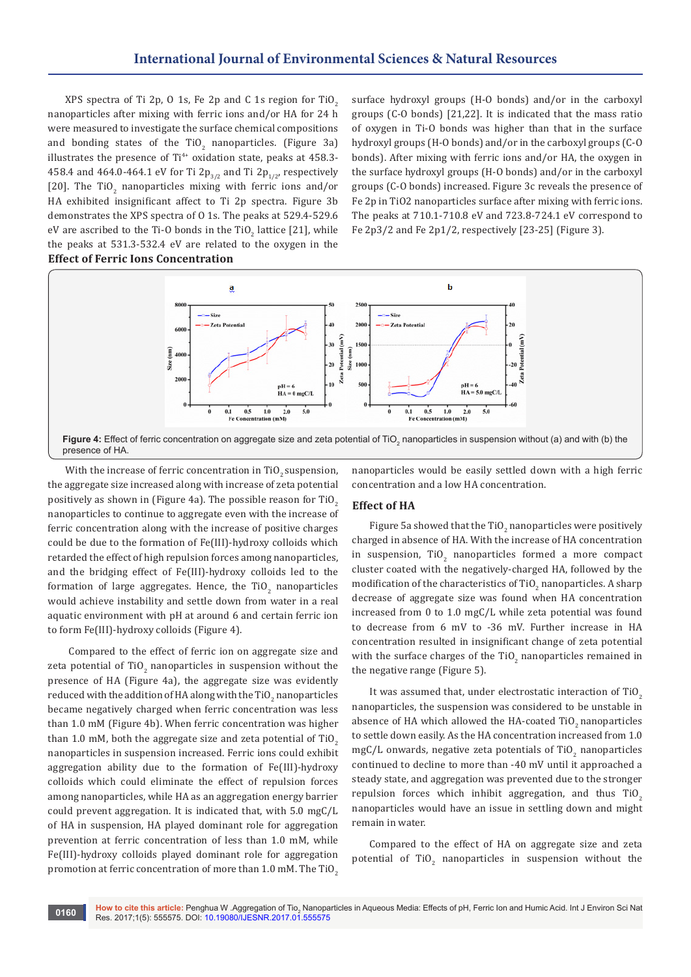XPS spectra of Ti 2p, 0 1s, Fe 2p and C 1s region for TiO<sub>2</sub> nanoparticles after mixing with ferric ions and/or HA for 24 h were measured to investigate the surface chemical compositions and bonding states of the TiO<sub>2</sub> nanoparticles. (Figure 3a) illustrates the presence of  $Ti^{4+}$  oxidation state, peaks at 458.3-458.4 and 464.0-464.1 eV for Ti 2p<sub>3/2</sub> and Ti 2p<sub>1/2</sub>, respectively [20]. The  $\text{TiO}_2$  nanoparticles mixing with ferric ions and/or HA exhibited insignificant affect to Ti 2p spectra. Figure 3b demonstrates the XPS spectra of O 1s. The peaks at 529.4-529.6 eV are ascribed to the Ti-O bonds in the TiO<sub>2</sub> lattice [21], while the peaks at 531.3-532.4 eV are related to the oxygen in the **Effect of Ferric Ions Concentration**

surface hydroxyl groups (H-O bonds) and/or in the carboxyl groups (C-O bonds) [21,22]. It is indicated that the mass ratio of oxygen in Ti-O bonds was higher than that in the surface hydroxyl groups (H-O bonds) and/or in the carboxyl groups (C-O bonds). After mixing with ferric ions and/or HA, the oxygen in the surface hydroxyl groups (H-O bonds) and/or in the carboxyl groups (C-O bonds) increased. Figure 3c reveals the presence of Fe 2p in TiO2 nanoparticles surface after mixing with ferric ions. The peaks at 710.1-710.8 eV and 723.8-724.1 eV correspond to Fe 2p3/2 and Fe 2p1/2, respectively [23-25] (Figure 3).



With the increase of ferric concentration in  $TiO<sub>2</sub>$  suspension, the aggregate size increased along with increase of zeta potential positively as shown in (Figure 4a). The possible reason for TiO<sub>2</sub> nanoparticles to continue to aggregate even with the increase of ferric concentration along with the increase of positive charges could be due to the formation of Fe(III)-hydroxy colloids which retarded the effect of high repulsion forces among nanoparticles, and the bridging effect of Fe(III)-hydroxy colloids led to the formation of large aggregates. Hence, the TiO<sub>2</sub> nanoparticles would achieve instability and settle down from water in a real aquatic environment with pH at around 6 and certain ferric ion to form Fe(III)-hydroxy colloids (Figure 4).

 Compared to the effect of ferric ion on aggregate size and zeta potential of TiO<sub>2</sub> nanoparticles in suspension without the presence of HA (Figure 4a), the aggregate size was evidently reduced with the addition of HA along with the  $\mathrm{TiO}_2$  nanoparticles became negatively charged when ferric concentration was less than 1.0 mM (Figure 4b). When ferric concentration was higher than 1.0 mM, both the aggregate size and zeta potential of  $TiO<sub>2</sub>$ nanoparticles in suspension increased. Ferric ions could exhibit aggregation ability due to the formation of Fe(III)-hydroxy colloids which could eliminate the effect of repulsion forces among nanoparticles, while HA as an aggregation energy barrier could prevent aggregation. It is indicated that, with 5.0 mgC/L of HA in suspension, HA played dominant role for aggregation prevention at ferric concentration of less than 1.0 mM, while Fe(III)-hydroxy colloids played dominant role for aggregation promotion at ferric concentration of more than 1.0 mM. The TiO<sub>2</sub>

nanoparticles would be easily settled down with a high ferric concentration and a low HA concentration.

# **Effect of HA**

Figure 5a showed that the  $TiO_2$  nanoparticles were positively charged in absence of HA. With the increase of HA concentration in suspension,  $TiO<sub>2</sub>$  nanoparticles formed a more compact cluster coated with the negatively-charged HA, followed by the modification of the characteristics of  $\mathrm{TiO}_2$  nanoparticles. A sharp decrease of aggregate size was found when HA concentration increased from 0 to 1.0 mgC/L while zeta potential was found to decrease from 6 mV to -36 mV. Further increase in HA concentration resulted in insignificant change of zeta potential with the surface charges of the TiO<sub>2</sub> nanoparticles remained in the negative range (Figure 5).

It was assumed that, under electrostatic interaction of TiO<sub>2</sub> nanoparticles, the suspension was considered to be unstable in absence of HA which allowed the HA-coated TiO<sub>2</sub> nanoparticles to settle down easily. As the HA concentration increased from 1.0 mgC/L onwards, negative zeta potentials of TiO<sub>2</sub> nanoparticles continued to decline to more than -40 mV until it approached a steady state, and aggregation was prevented due to the stronger repulsion forces which inhibit aggregation, and thus  $TiO<sub>2</sub>$ nanoparticles would have an issue in settling down and might remain in water.

Compared to the effect of HA on aggregate size and zeta potential of TiO<sub>2</sub> nanoparticles in suspension without the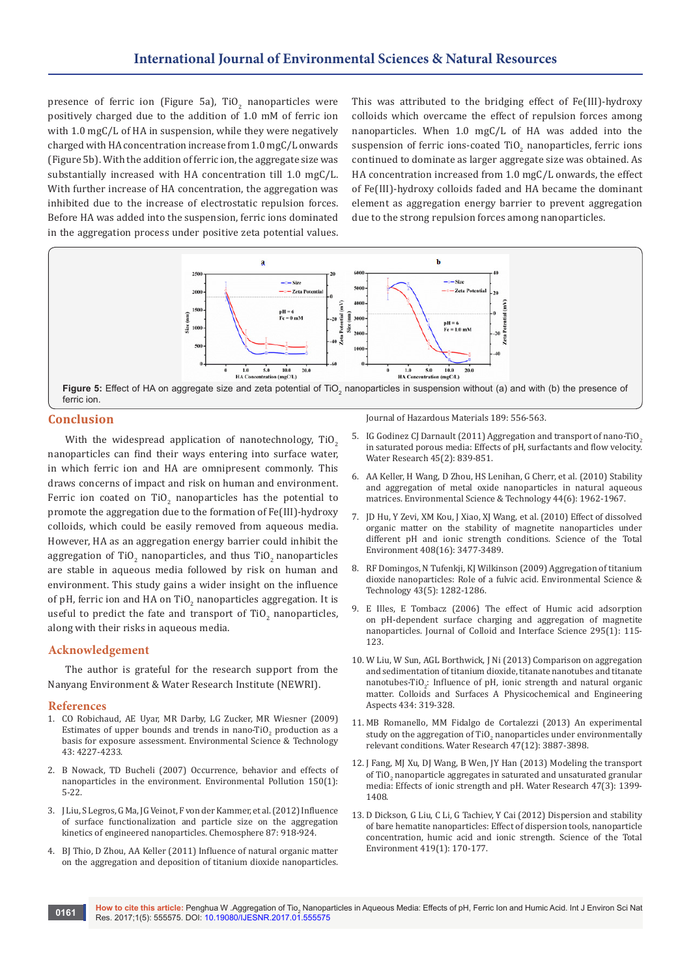presence of ferric ion (Figure 5a), TiO<sub>2</sub> nanoparticles were positively charged due to the addition of 1.0 mM of ferric ion with 1.0 mgC/L of HA in suspension, while they were negatively charged with HA concentration increase from 1.0 mgC/L onwards (Figure 5b). With the addition of ferric ion, the aggregate size was substantially increased with HA concentration till 1.0 mgC/L. With further increase of HA concentration, the aggregation was inhibited due to the increase of electrostatic repulsion forces. Before HA was added into the suspension, ferric ions dominated in the aggregation process under positive zeta potential values.

This was attributed to the bridging effect of Fe(III)-hydroxy colloids which overcame the effect of repulsion forces among nanoparticles. When 1.0 mgC/L of HA was added into the suspension of ferric ions-coated  $T10_{2}$  nanoparticles, ferric ions continued to dominate as larger aggregate size was obtained. As HA concentration increased from 1.0 mgC/L onwards, the effect of Fe(III)-hydroxy colloids faded and HA became the dominant element as aggregation energy barrier to prevent aggregation due to the strong repulsion forces among nanoparticles.



## **Conclusion**

With the widespread application of nanotechnology, TiO<sub>2</sub> nanoparticles can find their ways entering into surface water, in which ferric ion and HA are omnipresent commonly. This draws concerns of impact and risk on human and environment. Ferric ion coated on TiO<sub>2</sub> nanoparticles has the potential to promote the aggregation due to the formation of Fe(III)-hydroxy colloids, which could be easily removed from aqueous media. However, HA as an aggregation energy barrier could inhibit the aggregation of TiO<sub>2</sub> nanoparticles, and thus TiO<sub>2</sub> nanoparticles are stable in aqueous media followed by risk on human and environment. This study gains a wider insight on the influence of pH, ferric ion and HA on TiO $_2$  nanoparticles aggregation. It is useful to predict the fate and transport of  $\text{TiO}_2$  nanoparticles, along with their risks in aqueous media.

#### **Acknowledgement**

The author is grateful for the research support from the Nanyang Environment & Water Research Institute (NEWRI).

#### **References**

- 1. [CO Robichaud, AE Uyar, MR Darby, LG Zucker, MR Wiesner \(2009\)](https://www.ncbi.nlm.nih.gov/pubmed/19603627)  [Estimates of upper bounds and trends in nano-Ti](https://www.ncbi.nlm.nih.gov/pubmed/19603627)O<sub>2</sub> production as a [basis for exposure assessment. Environmental Science & Technology](https://www.ncbi.nlm.nih.gov/pubmed/19603627)  [43: 4227-4233.](https://www.ncbi.nlm.nih.gov/pubmed/19603627)
- 2. [B Nowack, TD Bucheli \(2007\) Occurrence, behavior and effects of](http://www.sciencedirect.com/science/article/pii/S0269749107002734)  [nanoparticles in the environment. Environmental Pollution 150\(1\):](http://www.sciencedirect.com/science/article/pii/S0269749107002734)  [5-22.](http://www.sciencedirect.com/science/article/pii/S0269749107002734)
- 3. [J Liu, S Legros, G Ma, JG Veinot, F von der Kammer, et al. \(2012\) Influence](https://www.ncbi.nlm.nih.gov/pubmed/22349061)  [of surface functionalization and particle size on the aggregation](https://www.ncbi.nlm.nih.gov/pubmed/22349061)  [kinetics of engineered nanoparticles. Chemosphere 87: 918-924.](https://www.ncbi.nlm.nih.gov/pubmed/22349061)
- 4. [BJ Thio, D Zhou, AA Keller \(2011\) Influence of natural organic matter](https://www.ncbi.nlm.nih.gov/pubmed/21429667)  [on the aggregation and deposition of titanium dioxide nanoparticles.](https://www.ncbi.nlm.nih.gov/pubmed/21429667)

[Journal of Hazardous Materials 189: 556-563.](https://www.ncbi.nlm.nih.gov/pubmed/21429667)

- 5. [IG Godinez CJ Darnault \(2011\) Aggregation and transport of nano-TiO](https://www.ncbi.nlm.nih.gov/pubmed/20947120)<sub>2</sub> [in saturated porous media: Effects of pH, surfactants and flow velocity.](https://www.ncbi.nlm.nih.gov/pubmed/20947120)  [Water Research 45\(2\): 839-851.](https://www.ncbi.nlm.nih.gov/pubmed/20947120)
- 6. [AA Keller, H Wang, D Zhou, HS Lenihan, G Cherr, et al. \(2010\) Stability](https://www.ncbi.nlm.nih.gov/pubmed/20151631)  [and aggregation of metal oxide nanoparticles in natural aqueous](https://www.ncbi.nlm.nih.gov/pubmed/20151631)  [matrices. Environmental Science & Technology 44\(6\): 1962-1967.](https://www.ncbi.nlm.nih.gov/pubmed/20151631)
- 7. [JD Hu, Y Zevi, XM Kou, J Xiao, XJ Wang, et al. \(2010\) Effect of dissolved](https://www.ncbi.nlm.nih.gov/pubmed/20421125)  [organic matter on the stability of magnetite nanoparticles under](https://www.ncbi.nlm.nih.gov/pubmed/20421125)  [different pH and ionic strength conditions. Science of the Total](https://www.ncbi.nlm.nih.gov/pubmed/20421125)  [Environment 408\(16\): 3477-3489.](https://www.ncbi.nlm.nih.gov/pubmed/20421125)
- 8. [RF Domingos, N Tufenkji, KJ Wilkinson \(2009\) Aggregation of titanium](https://www.ncbi.nlm.nih.gov/pubmed/19350891)  [dioxide nanoparticles: Role of a fulvic acid. Environmental Science &](https://www.ncbi.nlm.nih.gov/pubmed/19350891)  [Technology 43\(5\): 1282-1286.](https://www.ncbi.nlm.nih.gov/pubmed/19350891)
- 9. [E Illes, E Tombacz \(2006\) The effect of Humic acid adsorption](https://www.ncbi.nlm.nih.gov/pubmed/16139290)  [on pH-dependent surface charging and aggregation of magnetite](https://www.ncbi.nlm.nih.gov/pubmed/16139290)  [nanoparticles. Journal of Colloid and Interface Science 295\(1\): 115-](https://www.ncbi.nlm.nih.gov/pubmed/16139290) [123.](https://www.ncbi.nlm.nih.gov/pubmed/16139290)
- 10. W Liu, W Sun, AGL Borthwick, J Ni (2013) Comparison on aggregation and sedimentation of titanium dioxide, titanate nanotubes and titanate nanotubes-TiO<sub>2</sub>: Influence of pH, ionic strength and natural organic matter. Colloids and Surfaces A Physicochemical and Engineering Aspects 434: 319-328.
- 11. [MB Romanello, MM Fidalgo de Cortalezzi \(2013\) An experimental](https://www.ncbi.nlm.nih.gov/pubmed/23579091)  study on the aggregation of  $T_2$  nanoparticles under environmentally [relevant conditions. Water Research 47\(12\): 3887-3898.](https://www.ncbi.nlm.nih.gov/pubmed/23579091)
- 12. [J Fang, MJ Xu, DJ Wang, B Wen, JY Han \(2013\) Modeling the transport](https://www.ncbi.nlm.nih.gov/pubmed/23276424)  of TiO<sub>2</sub> nanoparticle aggregates in saturated and unsaturated granular [media: Effects of ionic strength and pH. Water Research 47\(3\): 1399-](https://www.ncbi.nlm.nih.gov/pubmed/23276424) [1408.](https://www.ncbi.nlm.nih.gov/pubmed/23276424)
- 13. [D Dickson, G Liu, C Li, G Tachiev, Y Cai \(2012\) Dispersion and stability](http://www.sciencedirect.com/science/article/pii/S004896971200054X)  [of bare hematite nanoparticles: Effect of dispersion tools, nanoparticle](http://www.sciencedirect.com/science/article/pii/S004896971200054X)  [concentration, humic acid and ionic strength. Science of the Total](http://www.sciencedirect.com/science/article/pii/S004896971200054X)  [Environment 419\(1\): 170-177.](http://www.sciencedirect.com/science/article/pii/S004896971200054X)